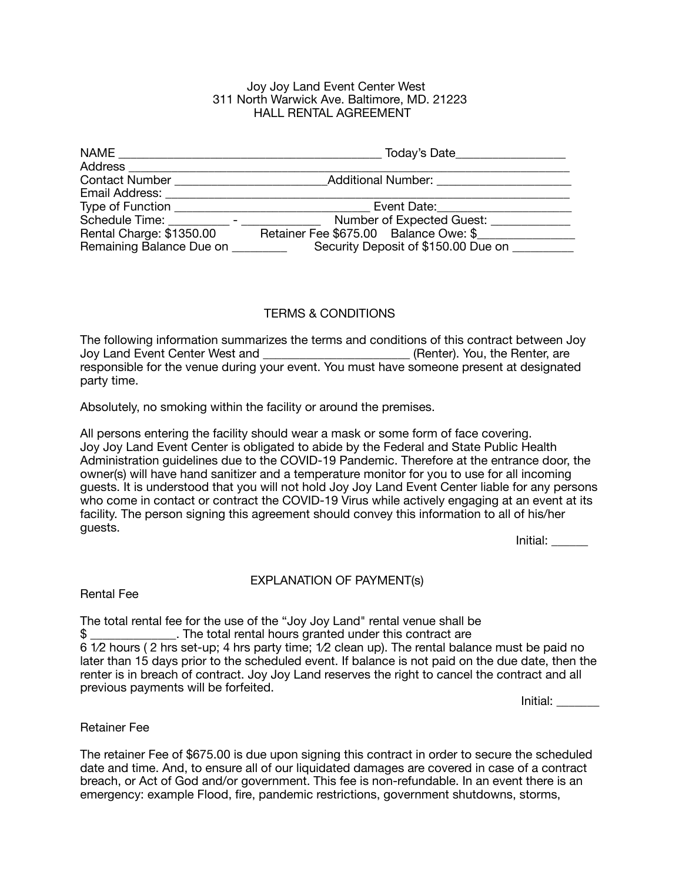#### Joy Joy Land Event Center West 311 North Warwick Ave. Baltimore, MD. 21223 HALL RENTAL AGREEMENT

| NAME                              | Today's Date                          |
|-----------------------------------|---------------------------------------|
| Address                           |                                       |
| <b>Contact Number</b>             | Additional Number:                    |
| Email Address:                    |                                       |
| Type of Function                  | Event Date:                           |
| Schedule Time: The Schedule Time: | Number of Expected Guest: __          |
| Rental Charge: \$1350.00          | Retainer Fee \$675.00 Balance Owe: \$ |
| Remaining Balance Due on          | Security Deposit of \$150.00 Due on   |

# TERMS & CONDITIONS

The following information summarizes the terms and conditions of this contract between Joy Joy Land Event Center West and \_\_\_\_\_\_\_\_\_\_\_\_\_\_\_\_\_\_\_\_\_\_\_\_ (Renter). You, the Renter, are responsible for the venue during your event. You must have someone present at designated party time.

Absolutely, no smoking within the facility or around the premises.

All persons entering the facility should wear a mask or some form of face covering. Joy Joy Land Event Center is obligated to abide by the Federal and State Public Health Administration guidelines due to the COVID-19 Pandemic. Therefore at the entrance door, the owner(s) will have hand sanitizer and a temperature monitor for you to use for all incoming guests. It is understood that you will not hold Joy Joy Land Event Center liable for any persons who come in contact or contract the COVID-19 Virus while actively engaging at an event at its facility. The person signing this agreement should convey this information to all of his/her guests.

Initial: \_\_\_\_\_\_

### EXPLANATION OF PAYMENT(s)

Rental Fee

The total rental fee for the use of the "Joy Joy Land" rental venue shall be \$ \_\_\_\_\_\_\_\_\_\_\_\_\_\_. The total rental hours granted under this contract are 6 1⁄2 hours ( 2 hrs set-up; 4 hrs party time; 1⁄2 clean up). The rental balance must be paid no later than 15 days prior to the scheduled event. If balance is not paid on the due date, then the renter is in breach of contract. Joy Joy Land reserves the right to cancel the contract and all previous payments will be forfeited.

 Initial: \_\_\_\_\_\_\_

Retainer Fee

The retainer Fee of \$675.00 is due upon signing this contract in order to secure the scheduled date and time. And, to ensure all of our liquidated damages are covered in case of a contract breach, or Act of God and/or government. This fee is non-refundable. In an event there is an emergency: example Flood, fire, pandemic restrictions, government shutdowns, storms,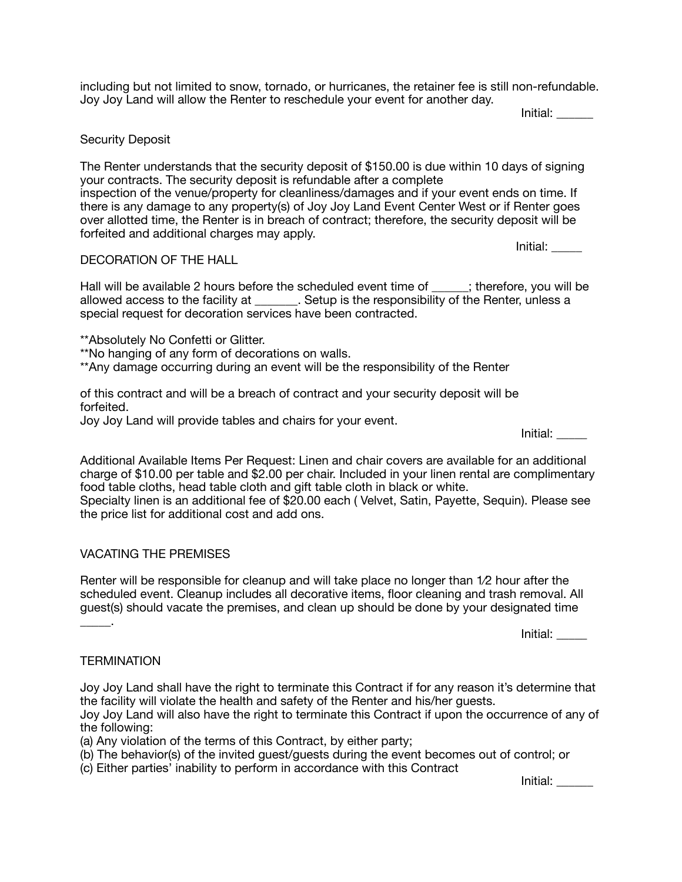including but not limited to snow, tornado, or hurricanes, the retainer fee is still non-refundable. Joy Joy Land will allow the Renter to reschedule your event for another day.

 Initial: \_\_\_\_\_\_

### Security Deposit

The Renter understands that the security deposit of \$150.00 is due within 10 days of signing your contracts. The security deposit is refundable after a complete inspection of the venue/property for cleanliness/damages and if your event ends on time. If there is any damage to any property(s) of Joy Joy Land Event Center West or if Renter goes over allotted time, the Renter is in breach of contract; therefore, the security deposit will be forfeited and additional charges may apply.

Initial: \_\_\_\_\_

# DECORATlON OF THE HALL

Hall will be available 2 hours before the scheduled event time of warefore, you will be allowed access to the facility at \_\_\_\_\_\_\_. Setup is the responsibility of the Renter, unless a special request for decoration services have been contracted.

\*\*Absolutely No Confetti or Glitter.

\*\*No hanging of any form of decorations on walls.

\*\*Any damage occurring during an event will be the responsibility of the Renter

of this contract and will be a breach of contract and your security deposit will be forfeited.

Joy Joy Land will provide tables and chairs for your event.

Additional Available Items Per Request: Linen and chair covers are available for an additional charge of \$10.00 per table and \$2.00 per chair. Included in your linen rental are complimentary food table cloths, head table cloth and gift table cloth in black or white.

Specialty linen is an additional fee of \$20.00 each ( Velvet, Satin, Payette, Sequin). Please see the price list for additional cost and add ons.

# VACATING THE PREMISES

Renter will be responsible for cleanup and will take place no longer than 1⁄2 hour after the scheduled event. Cleanup includes all decorative items, floor cleaning and trash removal. All guest(s) should vacate the premises, and clean up should be done by your designated time

 Initial: \_\_\_\_\_

 Initial: \_\_\_\_\_

# **TERMINATION**

\_\_\_\_\_.

Joy Joy Land shall have the right to terminate this Contract if for any reason it's determine that the facility will violate the health and safety of the Renter and his/her guests.

Joy Joy Land will also have the right to terminate this Contract if upon the occurrence of any of the following:

(a) Any violation of the terms of this Contract, by either party;

(b) The behavior(s) of the invited guest/guests during the event becomes out of control; or

(c) Either parties' inability to perform in accordance with this Contract

 Initial: \_\_\_\_\_\_